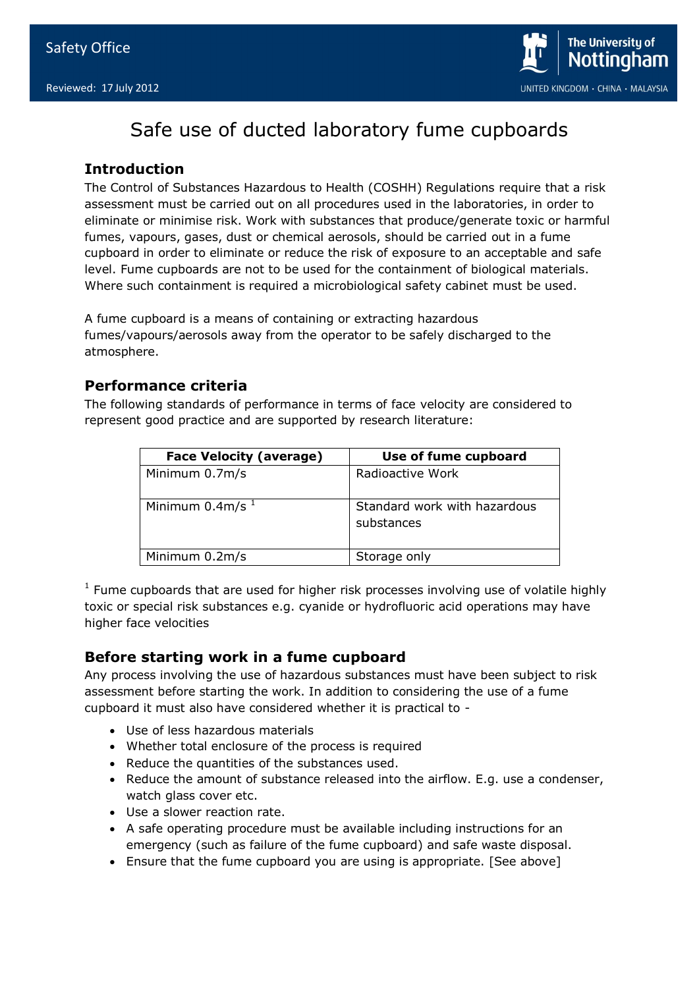

# Safe use of ducted laboratory fume cupboards

## **Introduction**

The Control of Substances Hazardous to Health (COSHH) Regulations require that a risk assessment must be carried out on all procedures used in the laboratories, in order to eliminate or minimise risk. Work with substances that produce/generate toxic or harmful fumes, vapours, gases, dust or chemical aerosols, should be carried out in a fume cupboard in order to eliminate or reduce the risk of exposure to an acceptable and safe level. Fume cupboards are not to be used for the containment of biological materials. Where such containment is required a microbiological safety cabinet must be used.

A fume cupboard is a means of containing or extracting hazardous fumes/vapours/aerosols away from the operator to be safely discharged to the atmosphere.

## **Performance criteria**

The following standards of performance in terms of face velocity are considered to represent good practice and are supported by research literature:

| <b>Face Velocity (average)</b> | Use of fume cupboard                       |
|--------------------------------|--------------------------------------------|
| Minimum 0.7m/s                 | Radioactive Work                           |
| Minimum $0.4m/s^{-1}$          | Standard work with hazardous<br>substances |
| Minimum 0.2m/s                 | Storage only                               |

 $1$  Fume cupboards that are used for higher risk processes involving use of volatile highly toxic or special risk substances e.g. cyanide or hydrofluoric acid operations may have higher face velocities

## **Before starting work in a fume cupboard**

Any process involving the use of hazardous substances must have been subject to risk assessment before starting the work. In addition to considering the use of a fume cupboard it must also have considered whether it is practical to -

- Use of less hazardous materials
- Whether total enclosure of the process is required
- Reduce the quantities of the substances used.
- Reduce the amount of substance released into the airflow. E.g. use a condenser, watch glass cover etc.
- Use a slower reaction rate.
- A safe operating procedure must be available including instructions for an emergency (such as failure of the fume cupboard) and safe waste disposal.
- Ensure that the fume cupboard you are using is appropriate. [See above]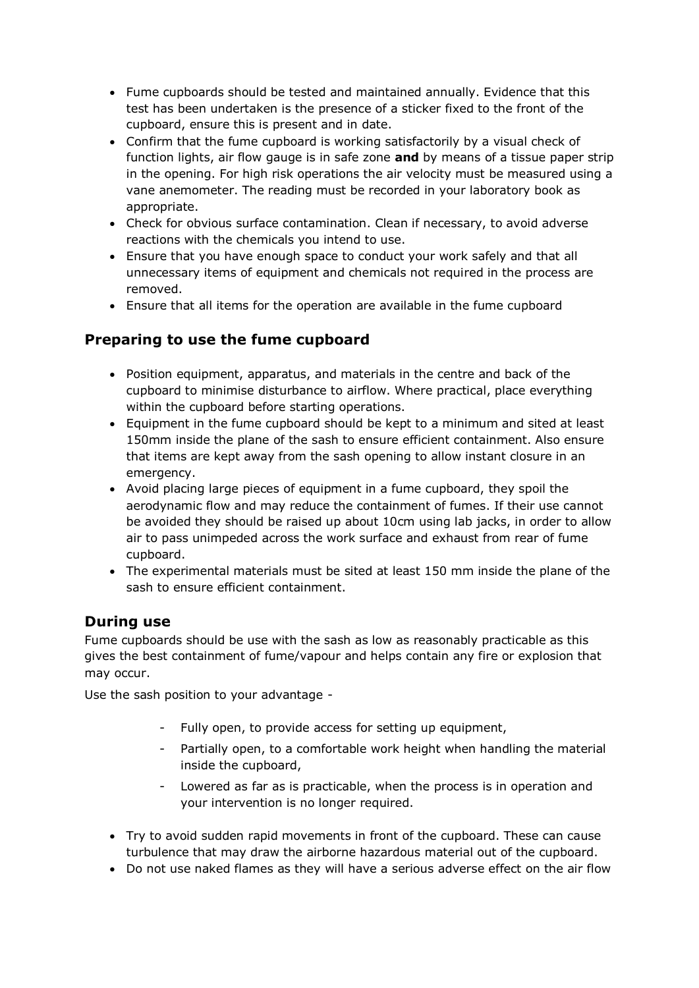- Fume cupboards should be tested and maintained annually. Evidence that this test has been undertaken is the presence of a sticker fixed to the front of the cupboard, ensure this is present and in date.
- Confirm that the fume cupboard is working satisfactorily by a visual check of function lights, air flow gauge is in safe zone **and** by means of a tissue paper strip in the opening. For high risk operations the air velocity must be measured using a vane anemometer. The reading must be recorded in your laboratory book as appropriate.
- Check for obvious surface contamination. Clean if necessary, to avoid adverse reactions with the chemicals you intend to use.
- Ensure that you have enough space to conduct your work safely and that all unnecessary items of equipment and chemicals not required in the process are removed.
- Ensure that all items for the operation are available in the fume cupboard

## **Preparing to use the fume cupboard**

- Position equipment, apparatus, and materials in the centre and back of the cupboard to minimise disturbance to airflow. Where practical, place everything within the cupboard before starting operations.
- Equipment in the fume cupboard should be kept to a minimum and sited at least 150mm inside the plane of the sash to ensure efficient containment. Also ensure that items are kept away from the sash opening to allow instant closure in an emergency.
- Avoid placing large pieces of equipment in a fume cupboard, they spoil the aerodynamic flow and may reduce the containment of fumes. If their use cannot be avoided they should be raised up about 10cm using lab jacks, in order to allow air to pass unimpeded across the work surface and exhaust from rear of fume cupboard.
- The experimental materials must be sited at least 150 mm inside the plane of the sash to ensure efficient containment.

## **During use**

Fume cupboards should be use with the sash as low as reasonably practicable as this gives the best containment of fume/vapour and helps contain any fire or explosion that may occur.

Use the sash position to your advantage -

- Fully open, to provide access for setting up equipment,
- Partially open, to a comfortable work height when handling the material inside the cupboard,
- Lowered as far as is practicable, when the process is in operation and your intervention is no longer required.
- Try to avoid sudden rapid movements in front of the cupboard. These can cause turbulence that may draw the airborne hazardous material out of the cupboard.
- Do not use naked flames as they will have a serious adverse effect on the air flow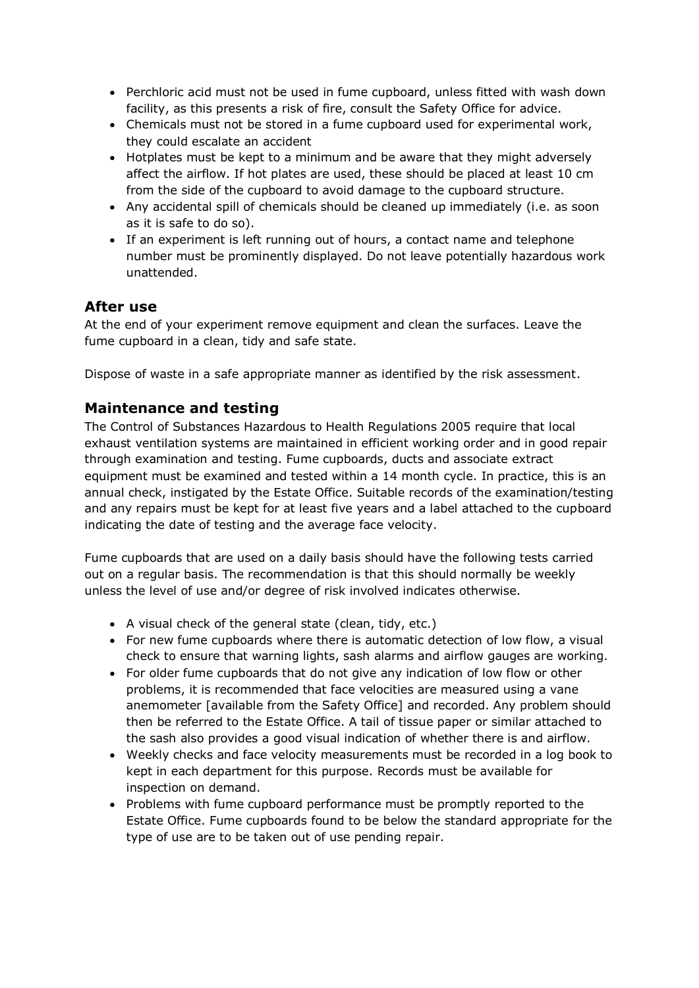- Perchloric acid must not be used in fume cupboard, unless fitted with wash down facility, as this presents a risk of fire, consult the Safety Office for advice.
- Chemicals must not be stored in a fume cupboard used for experimental work, they could escalate an accident
- Hotplates must be kept to a minimum and be aware that they might adversely affect the airflow. If hot plates are used, these should be placed at least 10 cm from the side of the cupboard to avoid damage to the cupboard structure.
- Any accidental spill of chemicals should be cleaned up immediately (i.e. as soon as it is safe to do so).
- If an experiment is left running out of hours, a contact name and telephone number must be prominently displayed. Do not leave potentially hazardous work unattended.

## **After use**

At the end of your experiment remove equipment and clean the surfaces. Leave the fume cupboard in a clean, tidy and safe state.

Dispose of waste in a safe appropriate manner as identified by the risk assessment.

## **Maintenance and testing**

The Control of Substances Hazardous to Health Regulations 2005 require that local exhaust ventilation systems are maintained in efficient working order and in good repair through examination and testing. Fume cupboards, ducts and associate extract equipment must be examined and tested within a 14 month cycle. In practice, this is an annual check, instigated by the Estate Office. Suitable records of the examination/testing and any repairs must be kept for at least five years and a label attached to the cupboard indicating the date of testing and the average face velocity.

Fume cupboards that are used on a daily basis should have the following tests carried out on a regular basis. The recommendation is that this should normally be weekly unless the level of use and/or degree of risk involved indicates otherwise.

- A visual check of the general state (clean, tidy, etc.)
- For new fume cupboards where there is automatic detection of low flow, a visual check to ensure that warning lights, sash alarms and airflow gauges are working.
- For older fume cupboards that do not give any indication of low flow or other problems, it is recommended that face velocities are measured using a vane anemometer [available from the Safety Office] and recorded. Any problem should then be referred to the Estate Office. A tail of tissue paper or similar attached to the sash also provides a good visual indication of whether there is and airflow.
- Weekly checks and face velocity measurements must be recorded in a log book to kept in each department for this purpose. Records must be available for inspection on demand.
- Problems with fume cupboard performance must be promptly reported to the Estate Office. Fume cupboards found to be below the standard appropriate for the type of use are to be taken out of use pending repair.